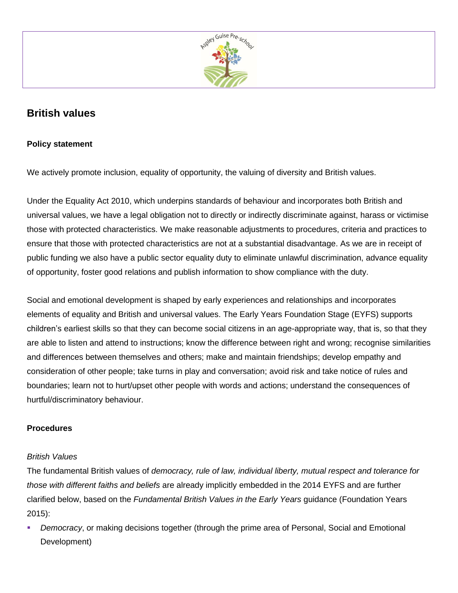

# **British values**

# **Policy statement**

We actively promote inclusion, equality of opportunity, the valuing of diversity and British values.

Under the Equality Act 2010, which underpins standards of behaviour and incorporates both British and universal values, we have a legal obligation not to directly or indirectly discriminate against, harass or victimise those with protected characteristics. We make reasonable adjustments to procedures, criteria and practices to ensure that those with protected characteristics are not at a substantial disadvantage. As we are in receipt of public funding we also have a public sector equality duty to eliminate unlawful discrimination, advance equality of opportunity, foster good relations and publish information to show compliance with the duty.

Social and emotional development is shaped by early experiences and relationships and incorporates elements of equality and British and universal values. The Early Years Foundation Stage (EYFS) supports children's earliest skills so that they can become social citizens in an age-appropriate way, that is, so that they are able to listen and attend to instructions; know the difference between right and wrong; recognise similarities and differences between themselves and others; make and maintain friendships; develop empathy and consideration of other people; take turns in play and conversation; avoid risk and take notice of rules and boundaries; learn not to hurt/upset other people with words and actions; understand the consequences of hurtful/discriminatory behaviour.

# **Procedures**

#### *British Values*

The fundamental British values of *democracy, rule of law, individual liberty, mutual respect and tolerance for those with different faiths and beliefs* are already implicitly embedded in the 2014 EYFS and are further clarified below, based on the *Fundamental British Values in the Early Years* guidance (Foundation Years 2015):

Democracy, or making decisions together (through the prime area of Personal, Social and Emotional Development)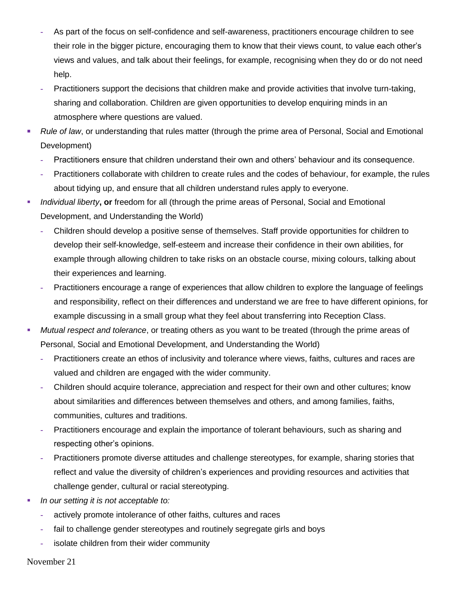- **-** As part of the focus on self-confidence and self-awareness, practitioners encourage children to see their role in the bigger picture, encouraging them to know that their views count, to value each other's views and values, and talk about their feelings, for example, recognising when they do or do not need help.
- **-** Practitioners support the decisions that children make and provide activities that involve turn-taking, sharing and collaboration. Children are given opportunities to develop enquiring minds in an atmosphere where questions are valued.
- *Rule of law*, or understanding that rules matter (through the prime area of Personal, Social and Emotional Development)
	- **-** Practitioners ensure that children understand their own and others' behaviour and its consequence.
	- **-** Practitioners collaborate with children to create rules and the codes of behaviour, for example, the rules about tidying up, and ensure that all children understand rules apply to everyone.
- *Individual liberty***, or** freedom for all (through the prime areas of Personal, Social and Emotional Development, and Understanding the World)
	- **-** Children should develop a positive sense of themselves. Staff provide opportunities for children to develop their self-knowledge, self-esteem and increase their confidence in their own abilities, for example through allowing children to take risks on an obstacle course, mixing colours, talking about their experiences and learning.
	- **-** Practitioners encourage a range of experiences that allow children to explore the language of feelings and responsibility, reflect on their differences and understand we are free to have different opinions, for example discussing in a small group what they feel about transferring into Reception Class.
- *Mutual respect and tolerance*, or treating others as you want to be treated (through the prime areas of Personal, Social and Emotional Development, and Understanding the World)
	- **-** Practitioners create an ethos of inclusivity and tolerance where views, faiths, cultures and races are valued and children are engaged with the wider community.
	- **-** Children should acquire tolerance, appreciation and respect for their own and other cultures; know about similarities and differences between themselves and others, and among families, faiths, communities, cultures and traditions.
	- **-** Practitioners encourage and explain the importance of tolerant behaviours, such as sharing and respecting other's opinions.
	- **-** Practitioners promote diverse attitudes and challenge stereotypes, for example, sharing stories that reflect and value the diversity of children's experiences and providing resources and activities that challenge gender, cultural or racial stereotyping.
- *In our setting it is not acceptable to:*
	- **-** actively promote intolerance of other faiths, cultures and races
	- **-** fail to challenge gender stereotypes and routinely segregate girls and boys
	- **-** isolate children from their wider community

November 21